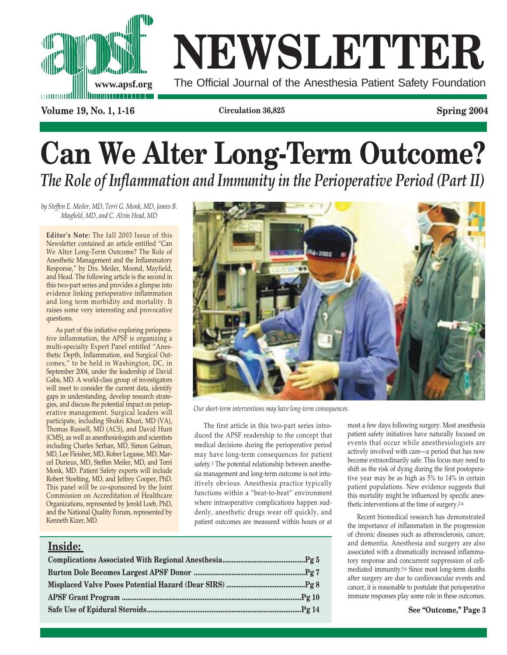

# **NEWSLETTER**

The Official Journal of the Anesthesia Patient Safety Foundation

**Volume 19, No. 1, 1-16 Circulation 36,825 Spring 2004**

# **Can We Alter Long-Term Outcome?** *The Role of Inflammation and Immunity in the Perioperative Period (Part II)*

*by Steffen E. Meiler, MD, Terri G. Monk, MD, James B. Mayfield, MD, and C. Alvin Head, MD*

**Editor's Note:** The fall 2003 Issue of this Newsletter contained an article entitled "Can We Alter Long-Term Outcome? The Role of Anesthetic Management and the Inflammatory Response," by Drs. Meiler, Moond, Mayfield, and Head. The following article is the second in this two-part series and provides a glimpse into evidence linking perioperative inflammation and long term morbidity and mortality. It raises some very interesting and provocative questions.

As part of this initiative exploring perioperative inflammation, the APSF is organizing a multi-specialty Expert Panel entitled "Anesthetic Depth, Inflammation, and Surgical Outcomes," to be held in Washington, DC, in September 2004, under the leadership of David Gaba, MD. A world-class group of investigators will meet to consider the current data, identify gaps in understanding, develop research strategies, and discuss the potential impact on perioperative management. Surgical leaders will participate, including Shukri Khuri, MD (VA), Thomas Russell, MD (ACS), and David Hunt (CMS), as well as anesthesiologists and scientists including Charles Serhan, MD, Simon Gelman, MD, Lee Fleisher, MD, Rober Legasse, MD, Marcel Durieux, MD, Steffen Meiler, MD, and Terri Monk, MD. Patient Safety experts will include Robert Stoelting, MD, and Jeffrey Cooper, PhD. This panel will be co-sponsored by the Joint Commission on Accreditation of Healthcare Organizations, represented by Jerold Loeb, PhD, and the National Quality Forum, represented by Kenneth Kizer, MD.



*Our short-term interventions may have long-term consequences.*

The first article in this two-part series introduced the APSF readership to the concept that medical decisions during the perioperative period may have long-term consequences for patient safety.<sup>1</sup> The potential relationship between anesthesia management and long-term outcome is not intuitively obvious. Anesthesia practice typically functions within a "beat-to-beat" environment where intraoperative complications happen suddenly, anesthetic drugs wear off quickly, and patient outcomes are measured within hours or at

### **Inside:**

most a few days following surgery. Most anesthesia patient safety initiatives have naturally focused on events that occur while anesthesiologists are actively involved with care—a period that has now become extraordinarily safe. This focus may need to shift as the risk of dying during the first postoperative year may be as high as 5% to 14% in certain patient populations. New evidence suggests that this mortality might be influenced by specific anesthetic interventions at the time of surgery.2-4

Recent biomedical research has demonstrated the importance of inflammation in the progression of chronic diseases such as atherosclerosis, cancer, and dementia. Anesthesia and surgery are also associated with a dramatically increased inflammatory response and concurrent suppression of cellmediated immunity.5,6 Since most long-term deaths after surgery are due to cardiovascular events and cancer, it is reasonable to postulate that perioperative immune responses play some role in these outcomes.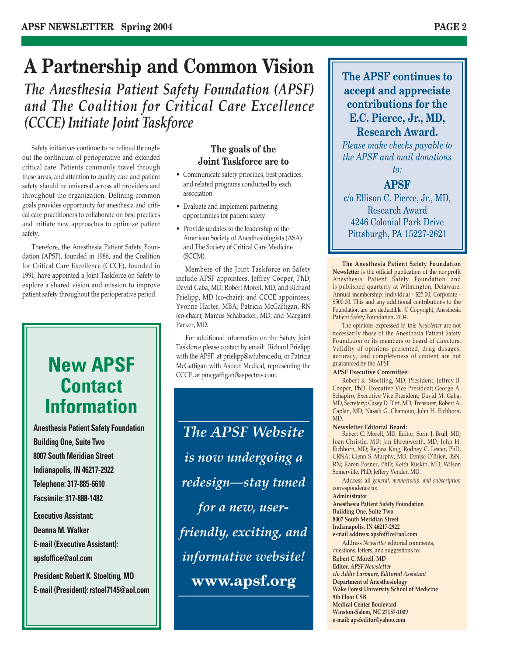## **A Partnership and Common Vision**

*The Anesthesia Patient Safety Foundation (APSF) and The Coalition for Critical Care Excellence (CCCE) Initiate Joint Taskforce*

Safety initiatives continue to be refined throughout the continuum of perioperative and extended critical care. Patients commonly travel through these areas, and attention to quality care and patient safety should be universal across all providers and throughout the organization. Defining common goals provides opportunity for anesthesia and critical care practitioners to collaborate on best practices and initiate new approaches to optimize patient safety.

Therefore, the Anesthesia Patient Safety Foundation (APSF), founded in 1986, and the Coalition for Critical Care Excellence (CCCE), founded in 1991, have appointed a Joint Taskforce on Safety to explore a shared vision and mission to improve patient safety throughout the perioperative period.

### **New APSF Contact Information**

**Anesthesia Patient Safety Foundation Building One, Suite Two 8007 South Meridian Street Indianapolis, IN 46217-2922 Telephone: 317-885-6610 Facsimile: 317-888-1482**

**Executive Assistant: Deanna M. Walker E-mail (Executive Assistant): apsfoffice@aol.com**

**President: Robert K. Stoelting, MD E-mail (President): rstoel7145@aol.com**

### **The goals of the Joint Taskforce are to**

- Communicate safety priorities, best practices, and related programs conducted by each association.
- Evaluate and implement partnering opportunities for patient safety.
- Provide updates to the leadership of the American Society of Anesthesiologists (ASA) and The Society of Critical Care Medicine (SCCM).

Members of the Joint Taskforce on Safety include APSF appointees, Jeffrey Cooper, PhD; David Gaba, MD; Robert Morell, MD; and Richard Prielipp, MD (co-chair); and CCCE appointees, Yvonne Harter, MBA; Patricia McGaffigan, RN (co-chair); Marcus Schabacker, MD; and Margaret Parker, MD.

For additional information on the Safety Joint Taskforce please contact by email: Richard Prielipp with the APSF at prielipp@wfubmc.edu, or Patricia McGaffigan with Aspect Medical, representing the CCCE, at pmcgaffigan@aspectms.com.

*The APSF Website is now undergoing a redesign—stay tuned for a new, userfriendly, exciting, and informative website!* **www.apsf.org**

**The APSF continues to accept and appreciate contributions for the E.C. Pierce, Jr., MD, Research Award.** 

*Please make checks payable to the APSF and mail donations to:*

### **APSF**

c/o Ellison C. Pierce, Jr., MD, Research Award 4246 Colonial Park Drive Pittsburgh, PA 15227-2621

**The Anesthesia Patient Safety Foundation Newsletter** is the official publication of the nonprofit Anesthesia Patient Safety Foundation and is published quarterly at Wilmington, Delaware. Annual membership: Individual - \$25.00, Corporate - \$500.00. This and any additional contributions to the Foundation are tax deductible. © Copyright, Anesthesia Patient Safety Foundation, 2004.

The opinions expressed in this *Newsletter* are not necessarily those of the Anesthesia Patient Safety Foundation or its members or board of directors. Validity of opinions presented, drug dosages, accuracy, and completeness of content are not guaranteed by the APSF.

#### **APSF Executive Committee:**

Robert K. Stoelting, MD, President; Jeffrey B. Cooper, PhD, Executive Vice President; George A. Schapiro, Executive Vice President; David M. Gaba, MD, Secretary; Casey D. Blitt, MD, Treasurer; Robert A. Caplan, MD; Nassib G. Chamoun; John H. Eichhorn, MD.

#### **Newsletter Editorial Board:**

Robert C. Morell, MD, Editor; Sorin J. Brull, MD; Joan Christie, MD; Jan Ehrenwerth, MD; John H. Eichhorn, MD; Regina King; Rodney C. Lester, PhD, CRNA; Glenn S. Murphy, MD; Denise O'Brien, BSN, RN; Karen Posner, PhD; Keith Ruskin, MD; Wilson Somerville, PhD; Jeffery Vender, MD.

Address all *general, membership, and subscription* correspondence to:

**Administrator**

**Anesthesia Patient Safety Foundation Building One, Suite Two 8007 South Meridian Street Indianapolis, IN 46217-2922 e-mail address: apsfoffice@aol.com**

Address *Newsletter* editorial comments, questions, letters, and suggestions to: **Robert C. Morell, MD Editor,** *APSF Newsletter c/o Addie Larimore, Editorial Assistant* **Department of Anesthesiology Wake Forest University School of Medicine 9th Floor CSB Medical Center Boulevard Winston-Salem, NC 27157-1009 e-mail: apsfeditor@yahoo.com**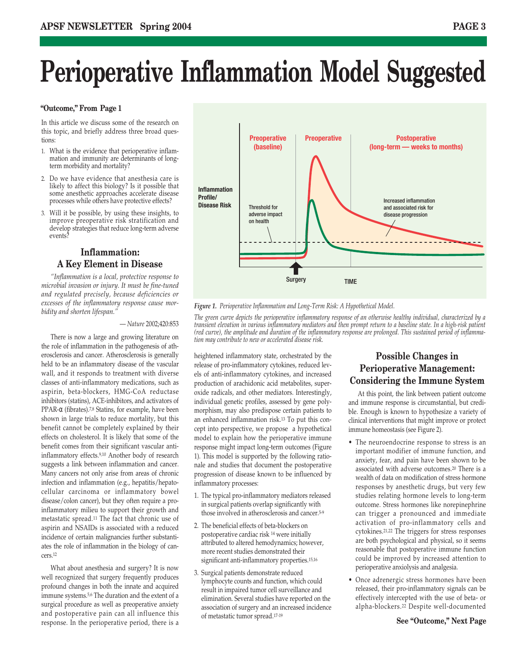# **Perioperative Inflammation Model Suggested**

#### **"Outcome," From Page 1**

In this article we discuss some of the research on this topic, and briefly address three broad questions:

- 1. What is the evidence that perioperative inflammation and immunity are determinants of longterm morbidity and mortality?
- 2. Do we have evidence that anesthesia care is likely to affect this biology? Is it possible that some anesthetic approaches accelerate disease processes while others have protective effects?
- 3. Will it be possible, by using these insights, to improve preoperative risk stratification and develop strategies that reduce long-term adverse events?

### **Inflammation: A Key Element in Disease**

*"Inflammation is a local, protective response to microbial invasion or injury. It must be fine-tuned and regulated precisely, because deficiencies or excesses of the inflammatory response cause morbidity and shorten lifespan."*

#### — *Nature* 2002;420:853

There is now a large and growing literature on the role of inflammation in the pathogenesis of atherosclerosis and cancer. Atherosclerosis is generally held to be an inflammatory disease of the vascular wall, and it responds to treatment with diverse classes of anti-inflammatory medications, such as aspirin, beta-blockers, HMG-CoA reductase inhibitors (statins), ACE-inhibitors, and activators of PPAR-α (fibrates).<sup>7,8</sup> Statins, for example, have been shown in large trials to reduce mortality, but this benefit cannot be completely explained by their effects on cholesterol. It is likely that some of the benefit comes from their significant vascular antiinflammatory effects.9,10 Another body of research suggests a link between inflammation and cancer. Many cancers not only arise from areas of chronic infection and inflammation (e.g., hepatitis/hepatocellular carcinoma or inflammatory bowel disease/colon cancer), but they often require a proinflammatory milieu to support their growth and metastatic spread.11 The fact that chronic use of aspirin and NSAIDs is associated with a reduced incidence of certain malignancies further substantiates the role of inflammation in the biology of cancers.12

What about anesthesia and surgery? It is now well recognized that surgery frequently produces profound changes in both the innate and acquired immune systems.<sup>5,6</sup> The duration and the extent of a surgical procedure as well as preoperative anxiety and postoperative pain can all influence this response. In the perioperative period, there is a



*Figure 1. Perioperative Inflammation and Long-Term Risk: A Hypothetical Model.* 

*The green curve depicts the perioperative inflammatory response of an otherwise healthy individual, characterized by a transient elevation in various inflammatory mediators and then prompt return to a baseline state. In a high-risk patient (red curve), the amplitude and duration of the inflammatory response are prolonged. This sustained period of inflammation may contribute to new or accelerated disease risk.*

heightened inflammatory state, orchestrated by the release of pro-inflammatory cytokines, reduced levels of anti-inflammatory cytokines, and increased production of arachidonic acid metabolites, superoxide radicals, and other mediators. Interestingly, individual genetic profiles, assessed by gene polymorphism, may also predispose certain patients to an enhanced inflammation risk.13 To put this concept into perspective, we propose a hypothetical model to explain how the perioperative immune response might impact long-term outcomes (Figure 1). This model is supported by the following rationale and studies that document the postoperative progression of disease known to be influenced by inflammatory processes:

- 1. The typical pro-inflammatory mediators released in surgical patients overlap significantly with those involved in atherosclerosis and cancer.5-9
- 2. The beneficial effects of beta-blockers on postoperative cardiac risk 14 were initially attributed to altered hemodynamics; however, more recent studies demonstrated their significant anti-inflammatory properties.15,16
- 3. Surgical patients demonstrate reduced lymphocyte counts and function, which could result in impaired tumor cell surveillance and elimination. Several studies have reported on the association of surgery and an increased incidence of metastatic tumor spread.17-19

### **Possible Changes in Perioperative Management: Considering the Immune System**

At this point, the link between patient outcome and immune response is circumstantial, but credible. Enough is known to hypothesize a variety of clinical interventions that might improve or protect immune homeostasis (see Figure 2).

- The neuroendocrine response to stress is an important modifier of immune function, and anxiety, fear, and pain have been shown to be associated with adverse outcomes.20 There is a wealth of data on modification of stress hormone responses by anesthetic drugs, but very few studies relating hormone levels to long-term outcome. Stress hormones like norepinephrine can trigger a pronounced and immediate activation of pro-inflammatory cells and cytokines.21,22 The triggers for stress responses are both psychological and physical, so it seems reasonable that postoperative immune function could be improved by increased attention to perioperative anxiolysis and analgesia.
- Once adrenergic stress hormones have been released, their pro-inflammatory signals can be effectively intercepted with the use of beta- or alpha-blockers.22 Despite well-documented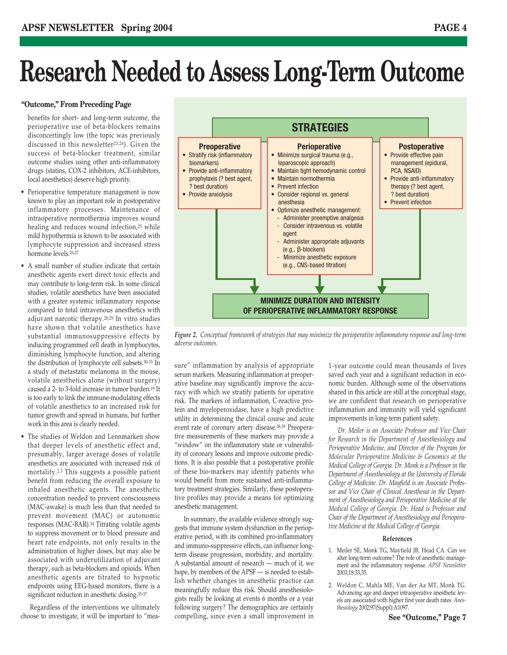# **Research Needed to Assess Long-Term Outcome**

#### **"Outcome," From Preceding Page**

benefits for short- and long-term outcome, the perioperative use of beta-blockers remains disconcertingly low (the topic was previously discussed in this newsletter<sup>23,24</sup>). Given the success of beta-blocker treatment, similar outcome studies using other anti-inflammatory drugs (statins, COX-2 inhibitors, ACE-inhibitors, local anesthetics) deserve high priority.

- Perioperative temperature management is now known to play an important role in postoperative inflammatory processes. Maintenance of intraoperative normothermia improves wound healing and reduces wound infection,<sup>25</sup> while mild hypothermia is known to be associated with lymphocyte suppression and increased stress hormone levels.26,27
- A small number of studies indicate that certain anesthetic agents exert direct toxic effects and may contribute to long-term risk. In some clinical studies, volatile anesthetics have been associated with a greater systemic inflammatory response compared to total intravenous anesthetics with adjuvant narcotic therapy.28,29 In vitro studies have shown that volatile anesthetics have substantial immunosuppressive effects by inducing programmed cell death in lymphocytes, diminishing lymphocyte function, and altering the distribution of lymphocyte cell subsets.30-33 In a study of metastatic melanoma in the mouse, volatile anesthetics alone (without surgery) caused a 2- to 3-fold increase in tumor burden.19 It is too early to link the immune-modulating effects of volatile anesthetics to an increased risk for tumor growth and spread in humans, but further work in this area is clearly needed.
- The studies of Weldon and Lennmarken show that deeper levels of anesthetic effect and, presumably, larger average doses of volatile anesthetics are associated with increased risk of mortality.2,3 This suggests a possible patient benefit from reducing the overall exposure to inhaled anesthetic agents. The anesthetic concentration needed to prevent consciousness (MAC-awake) is much less than that needed to prevent movement (MAC) or autonomic responses (MAC-BAR).34 Titrating volatile agents to suppress movement or to blood pressure and heart rate endpoints, not only results in the administration of higher doses, but may also be associated with underutilization of adjuvant therapy, such as beta-blockers and opioids. When anesthetic agents are titrated to hypnotic endpoints using EEG-based monitors, there is a significant reduction in anesthetic dosing.35-37

Regardless of the interventions we ultimately choose to investigate, it will be important to "mea-



*Figure 2. Conceptual framework of strategies that may minimize the perioperative inflammatory response and long-term adverse outcomes.*

sure" inflammation by analysis of appropriate serum markers. Measuring inflammation at preoperative baseline may significantly improve the accuracy with which we stratify patients for operative risk. The markers of inflammation, C-reactive protein and myeloperoxidase, have a high predictive utility in determining the clinical course and acute event rate of coronary artery disease.38,39 Preoperative measurements of these markers may provide a "window" on the inflammatory state or vulnerability of coronary lesions and improve outcome predictions. It is also possible that a postoperative profile of these bio-markers may identify patients who would benefit from more sustained anti-inflammatory treatment strategies. Similarly, these postoperative profiles may provide a means for optimizing anesthetic management.

In summary, the available evidence strongly suggests that immune system dysfunction in the perioperative period, with its combined pro-inflammatory and immuno-suppressive effects, can influence longterm disease progression, morbidity, and mortality. A substantial amount of research — much of it, we hope, by members of the APSF — is needed to establish whether changes in anesthetic practice can meaningfully reduce this risk. Should anesthesiologists really be looking at events 6 months or a year following surgery? The demographics are certainly compelling, since even a small improvement in

1-year outcome could mean thousands of lives saved each year and a significant reduction in economic burden. Although some of the observations shared in this article are still at the conceptual stage, we are confident that research on perioperative inflammation and immunity will yield significant improvements in long-term patient safety.

*Dr. Meiler is an Associate Professor and Vice Chair for Research in the Department of Anesthesiology and Perioperative Medicine, and Director of the Program for Molecular Perioperative Medicine & Genomics at the Medical College of Georgia. Dr. Monk is a Professor in the Department of Anesthesiology at the University of Florida College of Medicine. Dr. Mayfield is an Associate Professor and Vice Chair of Clinical Anesthesia in the Department of Anesthesiology and Perioperative Medicine at the Medical College of Georgia. Dr. Head is Professor and Chair of the Department of Anesthesiology and Perioperative Medicine at the Medical College of Georgia.*

#### **References**

- 1. Meiler SE, Monk TG, Mayfield JB, Head CA. Can we alter long-term outcome? The role of anesthetic management and the inflammatory response. *APSF Newsletter* 2003;18:33,35.
- 2. Weldon C, Mahla ME, Van der Aa MT, Monk TG. Advancing age and deeper intraoperative anesthetic levels are associated with higher first year death rates. *Anesthesiology* 2002;97(Suppl):A1097.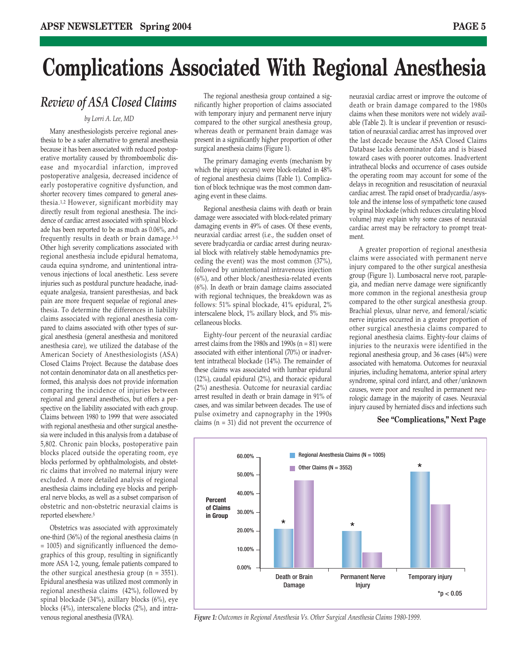## **Complications Associated With Regional Anesthesia**

### *Review of ASA Closed Claims*

#### *by Lorri A. Lee, MD*

Many anesthesiologists perceive regional anesthesia to be a safer alternative to general anesthesia because it has been associated with reduced postoperative mortality caused by thromboembolic disease and myocardial infarction, improved postoperative analgesia, decreased incidence of early postoperative cognitive dysfunction, and shorter recovery times compared to general anesthesia.1,2 However, significant morbidity may directly result from regional anesthesia. The incidence of cardiac arrest associated with spinal blockade has been reported to be as much as 0.06%, and frequently results in death or brain damage.3-5 Other high severity complications associated with regional anesthesia include epidural hematoma, cauda equina syndrome, and unintentional intravenous injections of local anesthetic. Less severe injuries such as postdural puncture headache, inadequate analgesia, transient paresthesias, and back pain are more frequent sequelae of regional anesthesia. To determine the differences in liability claims associated with regional anesthesia compared to claims associated with other types of surgical anesthesia (general anesthesia and monitored anesthesia care), we utilized the database of the American Society of Anesthesiologists (ASA) Closed Claims Project. Because the database does not contain denominator data on all anesthetics performed, this analysis does not provide information comparing the incidence of injuries between regional and general anesthetics, but offers a perspective on the liability associated with each group. Claims between 1980 to 1999 that were associated with regional anesthesia and other surgical anesthesia were included in this analysis from a database of 5,802. Chronic pain blocks, postoperative pain blocks placed outside the operating room, eye blocks performed by ophthalmologists, and obstetric claims that involved no maternal injury were excluded. A more detailed analysis of regional anesthesia claims including eye blocks and peripheral nerve blocks, as well as a subset comparison of obstetric and non-obstetric neuraxial claims is reported elsewhere.5

Obstetrics was associated with approximately one-third (36%) of the regional anesthesia claims (n = 1005) and significantly influenced the demographics of this group, resulting in significantly more ASA 1-2, young, female patients compared to the other surgical anesthesia group ( $n = 3551$ ). Epidural anesthesia was utilized most commonly in regional anesthesia claims (42%), followed by spinal blockade (34%), axillary blocks (6%), eye blocks (4%), interscalene blocks (2%), and intravenous regional anesthesia (IVRA).

The regional anesthesia group contained a significantly higher proportion of claims associated with temporary injury and permanent nerve injury compared to the other surgical anesthesia group, whereas death or permanent brain damage was present in a significantly higher proportion of other surgical anesthesia claims (Figure 1).

The primary damaging events (mechanism by which the injury occurs) were block-related in 48% of regional anesthesia claims (Table 1). Complication of block technique was the most common damaging event in these claims.

Regional anesthesia claims with death or brain damage were associated with block-related primary damaging events in 49% of cases. Of these events, neuraxial cardiac arrest (i.e., the sudden onset of severe bradycardia or cardiac arrest during neuraxial block with relatively stable hemodynamics preceding the event) was the most common (37%), followed by unintentional intravenous injection (6%), and other block/anesthesia-related events (6%). In death or brain damage claims associated with regional techniques, the breakdown was as follows: 51% spinal blockade, 41% epidural, 2% interscalene block, 1% axillary block, and 5% miscellaneous blocks.

Eighty-four percent of the neuraxial cardiac arrest claims from the 1980s and 1990s ( $n = 81$ ) were associated with either intentional (70%) or inadvertent intrathecal blockade (14%). The remainder of these claims was associated with lumbar epidural (12%), caudal epidural (2%), and thoracic epidural (2%) anesthesia. Outcome for neuraxial cardiac arrest resulted in death or brain damage in 91% of cases, and was similar between decades. The use of pulse oximetry and capnography in the 1990s claims (n = 31) did not prevent the occurrence of

neuraxial cardiac arrest or improve the outcome of death or brain damage compared to the 1980s claims when these monitors were not widely available (Table 2). It is unclear if prevention or resuscitation of neuraxial cardiac arrest has improved over the last decade because the ASA Closed Claims Database lacks denominator data and is biased toward cases with poorer outcomes. Inadvertent intrathecal blocks and occurrence of cases outside the operating room may account for some of the delays in recognition and resuscitation of neuraxial cardiac arrest. The rapid onset of bradycardia/asystole and the intense loss of sympathetic tone caused by spinal blockade (which reduces circulating blood volume) may explain why some cases of neuraxial cardiac arrest may be refractory to prompt treatment.

A greater proportion of regional anesthesia claims were associated with permanent nerve injury compared to the other surgical anesthesia group (Figure 1). Lumbosacral nerve root, paraplegia, and median nerve damage were significantly more common in the regional anesthesia group compared to the other surgical anesthesia group. Brachial plexus, ulnar nerve, and femoral/sciatic nerve injuries occurred in a greater proportion of other surgical anesthesia claims compared to regional anesthesia claims. Eighty-four claims of injuries to the neuraxis were identified in the regional anesthesia group, and 36 cases (44%) were associated with hematoma. Outcomes for neuraxial injuries, including hematoma, anterior spinal artery syndrome, spinal cord infarct, and other/unknown causes, were poor and resulted in permanent neurologic damage in the majority of cases. Neuraxial injury caused by herniated discs and infections such

#### **See "Complications," Next Page**



*Figure 1: Outcomes in Regional Anesthesia Vs. Other Surgical Anesthesia Claims 1980-1999.*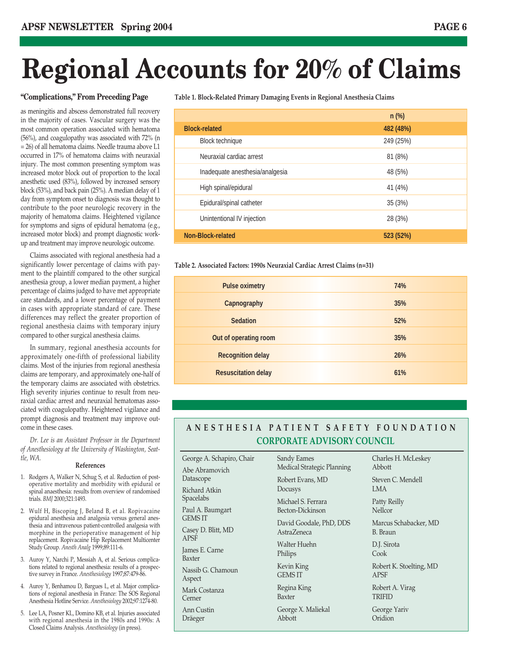# **Regional Accounts for 20% of Claims**

as meningitis and abscess demonstrated full recovery in the majority of cases. Vascular surgery was the most common operation associated with hematoma (56%), and coagulopathy was associated with 72% (n = 26) of all hematoma claims. Needle trauma above L1 occurred in 17% of hematoma claims with neuraxial injury. The most common presenting symptom was increased motor block out of proportion to the local anesthetic used (83%), followed by increased sensory block (53%), and back pain (25%). A median delay of 1 day from symptom onset to diagnosis was thought to contribute to the poor neurologic recovery in the majority of hematoma claims. Heightened vigilance for symptoms and signs of epidural hematoma (e.g., increased motor block) and prompt diagnostic workup and treatment may improve neurologic outcome.

Claims associated with regional anesthesia had a significantly lower percentage of claims with payment to the plaintiff compared to the other surgical anesthesia group, a lower median payment, a higher percentage of claims judged to have met appropriate care standards, and a lower percentage of payment in cases with appropriate standard of care. These differences may reflect the greater proportion of regional anesthesia claims with temporary injury compared to other surgical anesthesia claims.

In summary, regional anesthesia accounts for approximately one-fifth of professional liability claims. Most of the injuries from regional anesthesia claims are temporary, and approximately one-half of the temporary claims are associated with obstetrics. High severity injuries continue to result from neuraxial cardiac arrest and neuraxial hematomas associated with coagulopathy. Heightened vigilance and prompt diagnosis and treatment may improve outcome in these cases.

*Dr. Lee is an Assistant Professor in the Department of Anesthesiology at the University of Washington, Seattle, WA.*

#### **References**

- 1. Rodgers A, Walker N, Schug S, et al. Reduction of postoperative mortality and morbidity with epidural or spinal anaesthesia: results from overview of randomised trials. *BMJ* 2000;321:1493.
- 2. Wulf H, Biscoping J, Beland B, et al. Ropivacaine epidural anesthesia and analgesia versus general anesthesia and intravenous patient-controlled analgesia with morphine in the perioperative management of hip replacement. Ropivacaine Hip Replacement Multicenter Study Group. *Anesth Analg* 1999;89:111-6.
- 3. Auroy Y, Narchi P, Messiah A, et al. Serious complications related to regional anesthesia: results of a prospective survey in France. *Anesthesiology* 1997;87:479-86.
- 4. Auroy Y, Benhamou D, Bargues L, et al. Major complications of regional anesthesia in France: The SOS Regional Anesthesia Hotline Service. *Anesthesiology* 2002;97:1274-80.
- 5. Lee LA, Posner KL, Domino KB, et al. Injuries associated with regional anesthesia in the 1980s and 1990s: A Closed Claims Analysis. *Anesthesiology* (in press).

**"Complications," From Preceding Page Table 1. Block-Related Primary Damaging Events in Regional Anesthesia Claims** 

|                                 | $n$ (%)   |
|---------------------------------|-----------|
| <b>Block-related</b>            | 482 (48%) |
| <b>Block technique</b>          | 249 (25%) |
| Neuraxial cardiac arrest        | 81 (8%)   |
| Inadequate anesthesia/analgesia | 48 (5%)   |
| High spinal/epidural            | 41 (4%)   |
| Epidural/spinal catheter        | 35(3%)    |
| Unintentional IV injection      | 28 (3%)   |
| Non-Block-related               | 523 (52%) |

**Table 2. Associated Factors: 1990s Neuraxial Cardiac Arrest Claims (n=31)**

| <b>Pulse oximetry</b>      | 74% |
|----------------------------|-----|
| <b>Capnography</b>         | 35% |
| <b>Sedation</b>            | 52% |
| Out of operating room      | 35% |
| <b>Recognition delay</b>   | 26% |
| <b>Resuscitation delay</b> | 61% |
|                            |     |

#### **ANESTHESIA PATIENT SAFETY FOUNDATION CORPORATE ADVISORY COUNCIL**

| George A. Schapiro, Chair               | Sandy Eames                | Charles H. McLeskey     |
|-----------------------------------------|----------------------------|-------------------------|
| Abe Abramovich                          | Medical Strategic Planning | Abbott                  |
| Datascope                               | Robert Evans, MD           | Steven C. Mendell       |
| Richard Atkin                           | Docusys                    | <b>LMA</b>              |
| Spacelabs                               | Michael S. Ferrara         | Patty Reilly            |
| Paul A. Baumgart                        | Becton-Dickinson           | <b>Nellcor</b>          |
| <b>GEMS IT</b>                          | David Goodale, PhD, DDS    | Marcus Schabacker, MD   |
| Casey D. Blitt, MD                      | AstraZeneca                | B. Braun                |
| <b>APSF</b><br>James E. Carne<br>Baxter | Walter Huehn<br>Philips    | D.J. Sirota<br>Cook     |
| Nassib G. Chamoun                       | Kevin King                 | Robert K. Stoelting, MD |
| Aspect                                  | <b>GEMS IT</b>             | APSF                    |
| Mark Costanza                           | Regina King                | Robert A. Virag         |
| Cerner                                  | Baxter                     | TRIFID                  |
| Ann Custin                              | George X. Maliekal         | George Yariv            |
| Dräeger                                 | Abbott                     | Oridion                 |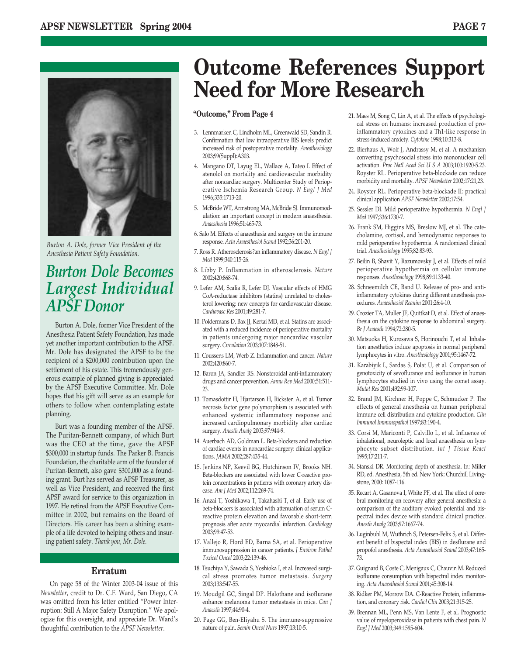

*Burton A. Dole, former Vice President of the Anesthesia Patient Safety Foundation.*

### *Burton Dole Becomes Largest Individual APSF Donor*

Burton A. Dole, former Vice President of the Anesthesia Patient Safety Foundation, has made yet another important contribution to the APSF. Mr. Dole has designated the APSF to be the recipient of a \$200,000 contribution upon the settlement of his estate. This tremendously generous example of planned giving is appreciated by the APSF Executive Committee. Mr. Dole hopes that his gift will serve as an example for others to follow when contemplating estate planning.

Burt was a founding member of the APSF. The Puritan-Bennett company, of which Burt was the CEO at the time, gave the APSF \$300,000 in startup funds. The Parker B. Francis Foundation, the charitable arm of the founder of Puritan-Bennett, also gave \$300,000 as a founding grant. Burt has served as APSF Treasurer, as well as Vice President, and received the first APSF award for service to this organization in 1997. He retired from the APSF Executive Committee in 2002, but remains on the Board of Directors. His career has been a shining example of a life devoted to helping others and insuring patient safety. *Thank you, Mr. Dole.*

#### **Erratum**

On page 58 of the Winter 2003-04 issue of this *Newsletter*, credit to Dr. C.F. Ward, San Diego, CA was omitted from his letter entitled "Power Interruption: Still A Major Safety Disruption." We apologize for this oversight, and appreciate Dr. Ward's thoughtful contribution to the *APSF Newsletter*.

## **Outcome References Support Need for More Research**

#### **"Outcome," From Page 4**

- 3. Lennmarken C, Lindholm ML, Greenwald SD, Sandin R. Confirmation that low intraoperative BIS levels predict increased risk of postoperative mortality. *Anesthesiology* 2003;99(Suppl):A303.
- 4. Mangano DT, Layug EL, Wallace A, Tateo I. Effect of atenolol on mortality and cardiovascular morbidity after noncardiac surgery. Multicenter Study of Perioperative Ischemia Research Group. *N Engl J Med* 1996;335:1713-20.
- 5. McBride WT, Armstrong MA, McBride SJ. Immunomodulation: an important concept in modern anaesthesia. *Anaesthesia* 1996;51:465-73.
- 6. Salo M. Effects of anaesthesia and surgery on the immune response. *Acta Anaesthesiol Scand* 1992;36:201-20.
- 7. Ross R. Atherosclerosis?an inflammatory disease. *N Engl J Med* 1999;340:115-26.
- 8. Libby P. Inflammation in atherosclerosis. *Nature* 2002;420:868-74.
- 9. Lefer AM, Scalia R, Lefer DJ. Vascular effects of HMG CoA-reductase inhibitors (statins) unrelated to cholesterol lowering: new concepts for cardiovascular disease. *Cardiovasc Res* 2001;49:281-7.
- 10. Poldermans D, Bax JJ, Kertai MD, et al. Statins are associated with a reduced incidence of perioperative mortality in patients undergoing major noncardiac vascular surgery. *Circulation* 2003;107:1848-51.
- 11. Coussens LM, Werb Z. Inflammation and cancer. *Nature* 2002;420:860-7.
- 12. Baron JA, Sandler RS. Nonsteroidal anti-inflammatory drugs and cancer prevention. *Annu Rev Med* 2000;51:511- 23.
- 13. Tomasdottir H, Hjartarson H, Ricksten A, et al. Tumor necrosis factor gene polymorphism is associated with enhanced systemic inflammatory response and increased cardiopulmonary morbidity after cardiac surgery. *Anesth Analg* 2003;97:944-9.
- 14. Auerbach AD, Goldman L. Beta-blockers and reduction of cardiac events in noncardiac surgery: clinical applications. *JAMA* 2002;287:435-44.
- 15. Jenkins NP, Keevil BG, Hutchinson IV, Brooks NH. Beta-blockers are associated with lower C-reactive protein concentrations in patients with coronary artery disease. *Am J Med* 2002;112:269-74.
- 16. Anzai T, Yoshikawa T, Takahashi T, et al. Early use of beta-blockers is associated with attenuation of serum Creactive protein elevation and favorable short-term prognosis after acute myocardial infarction. *Cardiology* 2003;99:47-53.
- 17. Vallejo R, Hord ED, Barna SA, et al. Perioperative immunosuppression in cancer patients. *J Environ Pathol Toxicol Oncol* 2003;22:139-46.
- 18. Tsuchiya Y, Sawada S, Yoshioka I, et al. Increased surgical stress promotes tumor metastasis. *Surgery* 2003;133:547-55.
- 19. Moudgil GC, Singal DP. Halothane and isoflurane enhance melanoma tumor metastasis in mice. *Can J Anaesth* 1997;44:90-4.
- 20. Page GG, Ben-Eliyahu S. The immune-suppressive nature of pain. *Semin Oncol Nurs* 1997;13:10-5.
- 21. Maes M, Song C, Lin A, et al. The effects of psychological stress on humans: increased production of proinflammatory cytokines and a Th1-like response in stress-induced anxiety. *Cytokine* 1998;10:313-8.
- 22. Bierhaus A, Wolf J, Andrassy M, et al. A mechanism converting psychosocial stress into mononuclear cell activation. *Proc Natl Acad Sci U S A* 2003;100:1920-5.23. Royster RL. Perioperative beta-blockade can reduce morbidity and mortality. *APSF Newsletter* 2002;17:21,23.
- 24. Royster RL. Perioperative beta-blockade II: practical clinical application *APSF Newsletter* 2002;17:54.
- 25. Sessler DI. Mild perioperative hypothermia. *N Engl J Med* 1997;336:1730-7.
- 26. Frank SM, Higgins MS, Breslow MJ, et al. The catecholamine, cortisol, and hemodynamic responses to mild perioperative hypothermia. A randomized clinical trial. *Anesthesiology* 1995;82:83-93.
- 27. Beilin B, Shavit Y, Razumovsky J, et al. Effects of mild perioperative hypothermia on cellular immune responses. *Anesthesiology* 1998;89:1133-40.
- 28. Schneemilch CE, Band U. Release of pro- and antiinflammatory cytokines during different anesthesia procedures. *Anaesthesiol Reanim* 2001;26:4-10.
- 29. Crozier TA, Muller JE, Quittkat D, et al. Effect of anaesthesia on the cytokine response to abdominal surgery. *Br J Anaesth* 1994;72:280-5.
- 30. Matsuoka H, Kurosawa S, Horinouchi T, et al. Inhalation anesthetics induce apoptosis in normal peripheral lymphocytes in vitro. *Anesthesiology* 2001;95:1467-72.
- 31. Karabiyik L, Sardas S, Polat U, et al. Comparison of genotoxicity of sevoflurance and isoflurance in human lymphocytes studied in vivo using the comet assay. *Mutat Res* 2001;492:99-107.
- 32. Brand JM, Kirchner H, Poppe C, Schmucker P. The effects of general anesthesia on human peripheral immune cell distribution and cytokine production. *Clin Immunol Immunopathol* 1997;83:190-4.
- 33. Corsi M, Mariconti P, Calvillo L, et al. Influence of inhalational, neuroleptic and local anaesthesia on lymphocyte subset distribution. *Int J Tissue React* 1995;17:211-7.
- 34. Stanski DR. Monitoring depth of anesthesia. In: Miller RD, ed. Anesthesia, 5th ed. New York: Churchill Livingstone, 2000: 1087-116.
- 35. Recart A, Gasanova I, White PF, et al. The effect of cerebral monitoring on recovery after general anesthesia: a comparison of the auditory evoked potential and bispectral index device with standard clinical practice. *Anesth Analg* 2003;97:1667-74.
- 36. Luginbuhl M, Wuthrich S, Petersen-Felix S, et al. Different benefit of bispectal index (BIS) in desflurane and propofol anesthesia. *Acta Anaesthesiol Scand* 2003;47:165- 73.
- 37. Guignard B, Coste C, Menigaux C, Chauvin M. Reduced isoflurane consumption with bispectral index monitoring. *Acta Anaesthesiol Scand* 2001;45:308-14.
- 38. Ridker PM, Morrow DA. C-Reactive Protein, inflammation, and coronary risk. *Cardiol Clin* 2003;21:315-25.
- 39. Brennan ML, Penn MS, Van Lente F, et al. Prognostic value of myeloperoxidase in patients with chest pain. *N Engl J Med* 2003;349:1595-604.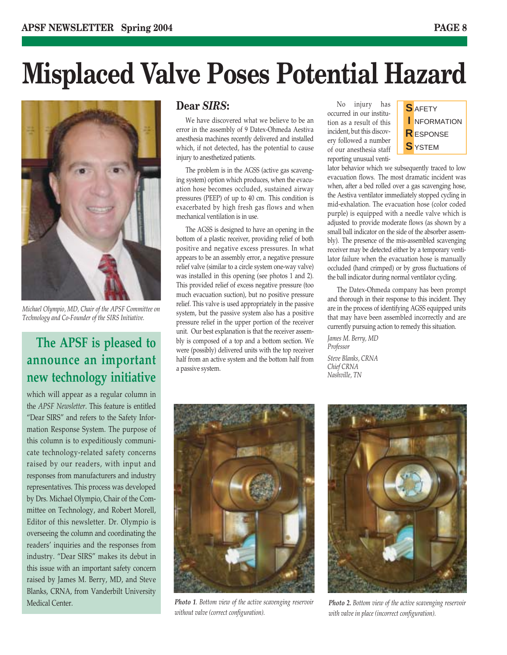# **Misplaced Valve Poses Potential Hazard**



*Michael Olympio, MD, Chair of the APSF Committee on Technology and Co-Founder of the SIRS Initiative.*

### **The APSF is pleased to announce an important new technology initiative**

which will appear as a regular column in the *APSF Newsletter*. This feature is entitled "Dear SIRS" and refers to the Safety Information Response System. The purpose of this column is to expeditiously communicate technology-related safety concerns raised by our readers, with input and responses from manufacturers and industry representatives. This process was developed by Drs. Michael Olympio, Chair of the Committee on Technology, and Robert Morell, Editor of this newsletter. Dr. Olympio is overseeing the column and coordinating the readers' inquiries and the responses from industry. "Dear SIRS" makes its debut in this issue with an important safety concern raised by James M. Berry, MD, and Steve Blanks, CRNA, from Vanderbilt University Medical Center.

### **Dear** *SIRS***:**

We have discovered what we believe to be an error in the assembly of 9 Datex-Ohmeda Aestiva anesthesia machines recently delivered and installed which, if not detected, has the potential to cause injury to anesthetized patients.

The problem is in the AGSS (active gas scavenging system) option which produces, when the evacuation hose becomes occluded, sustained airway pressures (PEEP) of up to 40 cm. This condition is exacerbated by high fresh gas flows and when mechanical ventilation is in use.

The AGSS is designed to have an opening in the bottom of a plastic receiver, providing relief of both positive and negative excess pressures. In what appears to be an assembly error, a negative pressure relief valve (similar to a circle system one-way valve) was installed in this opening (see photos 1 and 2). This provided relief of excess negative pressure (too much evacuation suction), but no positive pressure relief. This valve is used appropriately in the passive system, but the passive system also has a positive pressure relief in the upper portion of the receiver unit. Our best explanation is that the receiver assembly is composed of a top and a bottom section. We were (possibly) delivered units with the top receiver half from an active system and the bottom half from a passive system.

No injury has occurred in our institution as a result of this incident, but this discovery followed a number of our anesthesia staff reporting unusual venti-



lator behavior which we subsequently traced to low evacuation flows. The most dramatic incident was when, after a bed rolled over a gas scavenging hose, the Aestiva ventilator immediately stopped cycling in mid-exhalation. The evacuation hose (color coded purple) is equipped with a needle valve which is adjusted to provide moderate flows (as shown by a small ball indicator on the side of the absorber assembly). The presence of the mis-assembled scavenging receiver may be detected either by a temporary ventilator failure when the evacuation hose is manually occluded (hand crimped) or by gross fluctuations of the ball indicator during normal ventilator cycling.

The Datex-Ohmeda company has been prompt and thorough in their response to this incident. They are in the process of identifying AGSS equipped units that may have been assembled incorrectly and are currently pursuing action to remedy this situation.

*James M. Berry, MD Professor Steve Blanks, CRNA Chief CRNA*

*Nashville, TN*



*Photo 1. Bottom view of the active scavenging reservoir without valve (correct configuration).*



*Photo 2. Bottom view of the active scavenging reservoir with valve in place (incorrect configuration).*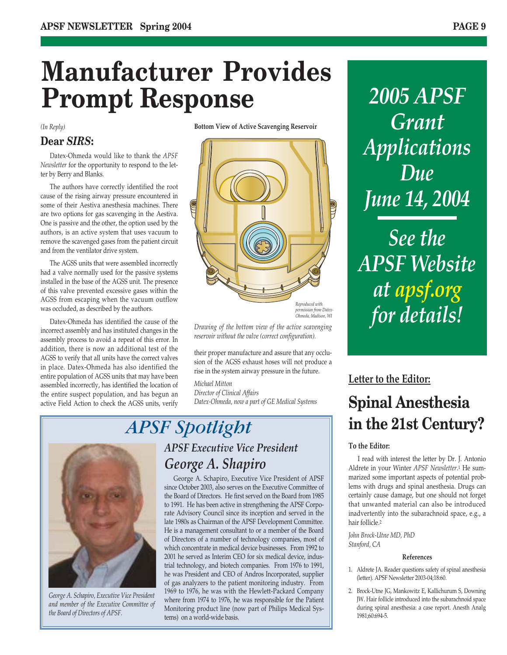# **Manufacturer Provides Prompt Response**

*(In Reply)* 

### **Dear** *SIRS***:**

Datex-Ohmeda would like to thank the *APSF Newsletter* for the opportunity to respond to the letter by Berry and Blanks.

The authors have correctly identified the root cause of the rising airway pressure encountered in some of their Aestiva anesthesia machines. There are two options for gas scavenging in the Aestiva. One is passive and the other, the option used by the authors, is an active system that uses vacuum to remove the scavenged gases from the patient circuit and from the ventilator drive system.

The AGSS units that were assembled incorrectly had a valve normally used for the passive systems installed in the base of the AGSS unit. The presence of this valve prevented excessive gases within the AGSS from escaping when the vacuum outflow was occluded, as described by the authors.

Datex-Ohmeda has identified the cause of the incorrect assembly and has instituted changes in the assembly process to avoid a repeat of this error. In addition, there is now an additional test of the AGSS to verify that all units have the correct valves in place. Datex-Ohmeda has also identified the entire population of AGSS units that may have been assembled incorrectly, has identified the location of the entire suspect population, and has begun an active Field Action to check the AGSS units, verify **Bottom View of Active Scavenging Reservoir**



*permission from Datex-Ohmeda, Madison, WI*

*Drawing of the bottom view of the active scavenging reservoir without the valve (correct configuration).*

their proper manufacture and assure that any occlusion of the AGSS exhaust hoses will not produce a rise in the system airway pressure in the future.

*Michael Mitton Director of Clinical Affairs Datex-Ohmeda, now a part of GE Medical Systems*

*George A. Schapiro, Executive Vice President and member of the Executive Committee of the Board of Directors of APSF.*

### *APSF Spotlight APSF Executive Vice President George A. Shapiro*

George A. Schapiro, Executive Vice President of APSF since October 2003, also serves on the Executive Committee of the Board of Directors. He first served on the Board from 1985 to 1991. He has been active in strengthening the APSF Corporate Advisory Council since its inception and served in the late 1980s as Chairman of the APSF Development Committee. He is a management consultant to or a member of the Board of Directors of a number of technology companies, most of which concentrate in medical device businesses. From 1992 to 2001 he served as Interim CEO for six medical device, industrial technology, and biotech companies. From 1976 to 1991, he was President and CEO of Andros Incorporated, supplier of gas analyzers to the patient monitoring industry. From 1969 to 1976, he was with the Hewlett-Packard Company where from 1974 to 1976, he was responsible for the Patient Monitoring product line (now part of Philips Medical Systems) on a world-wide basis.

*2005 APSF Grant Applications Due June 14, 2004*

*See the APSF Website at apsf.org for details!*

## **Letter to the Editor: Spinal Anesthesia in the 21st Century?**

#### **To the Editor:**

I read with interest the letter by Dr. J. Antonio Aldrete in your Winter *APSF Newsletter*.1 He summarized some important aspects of potential problems with drugs and spinal anesthesia. Drugs can certainly cause damage, but one should not forget that unwanted material can also be introduced inadvertently into the subarachnoid space, e.g., a hair follicle.2

*John Brock-Utne MD, PhD Stanford, CA* 

#### **References**

- 1. Aldrete JA. Reader questions safety of spinal anesthesia (letter). APSF Newsletter 2003-04;18:60.
- 2. Brock-Utne JG, Mankowitz E, Kallichurum S, Downing JW. Hair follicle introduced into the subarachnoid space during spinal anesthesia: a case report. Anesth Analg 1981;60:694-5.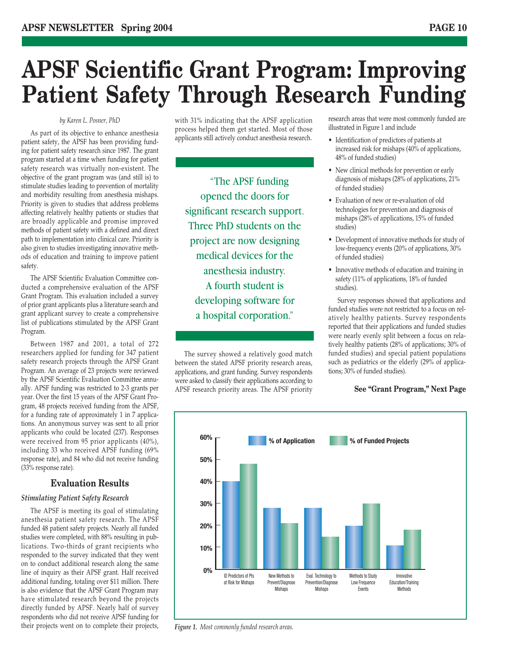## **APSF Scientific Grant Program: Improving Patient Safety Through Research Funding**

#### *by Karen L. Posner, PhD*

As part of its objective to enhance anesthesia patient safety, the APSF has been providing funding for patient safety research since 1987. The grant program started at a time when funding for patient safety research was virtually non-existent. The objective of the grant program was (and still is) to stimulate studies leading to prevention of mortality and morbidity resulting from anesthesia mishaps. Priority is given to studies that address problems affecting relatively healthy patients or studies that are broadly applicable and promise improved methods of patient safety with a defined and direct path to implementation into clinical care. Priority is also given to studies investigating innovative methods of education and training to improve patient safety.

The APSF Scientific Evaluation Committee conducted a comprehensive evaluation of the APSF Grant Program. This evaluation included a survey of prior grant applicants plus a literature search and grant applicant survey to create a comprehensive list of publications stimulated by the APSF Grant Program.

Between 1987 and 2001, a total of 272 researchers applied for funding for 347 patient safety research projects through the APSF Grant Program. An average of 23 projects were reviewed by the APSF Scientific Evaluation Committee annually. APSF funding was restricted to 2-3 grants per year. Over the first 15 years of the APSF Grant Program, 48 projects received funding from the APSF, for a funding rate of approximately 1 in 7 applications. An anonymous survey was sent to all prior applicants who could be located (237). Responses were received from 95 prior applicants (40%), including 33 who received APSF funding (69% response rate), and 84 who did not receive funding (33% response rate).

#### **Evaluation Results**

#### *Stimulating Patient Safety Research*

The APSF is meeting its goal of stimulating anesthesia patient safety research. The APSF funded 48 patient safety projects. Nearly all funded studies were completed, with 88% resulting in publications. Two-thirds of grant recipients who responded to the survey indicated that they went on to conduct additional research along the same line of inquiry as their APSF grant. Half received additional funding, totaling over \$11 million. There is also evidence that the APSF Grant Program may have stimulated research beyond the projects directly funded by APSF. Nearly half of survey respondents who did not receive APSF funding for their projects went on to complete their projects, with 31% indicating that the APSF application process helped them get started. Most of those applicants still actively conduct anesthesia research.

"The APSF funding opened the doors for significant research support. Three PhD students on the project are now designing medical devices for the anesthesia industry. A fourth student is developing software for a hospital corporation."

The survey showed a relatively good match between the stated APSF priority research areas, applications, and grant funding. Survey respondents were asked to classify their applications according to APSF research priority areas. The APSF priority research areas that were most commonly funded are illustrated in Figure 1 and include

- Identification of predictors of patients at increased risk for mishaps (40% of applications, 48% of funded studies)
- New clinical methods for prevention or early diagnosis of mishaps (28% of applications, 21% of funded studies)
- Evaluation of new or re-evaluation of old technologies for prevention and diagnosis of mishaps (28% of applications, 15% of funded studies)
- Development of innovative methods for study of low-frequency events (20% of applications, 30% of funded studies)
- Innovative methods of education and training in safety (11% of applications, 18% of funded studies).

Survey responses showed that applications and funded studies were not restricted to a focus on relatively healthy patients. Survey respondents reported that their applications and funded studies were nearly evenly split between a focus on relatively healthy patients (28% of applications; 30% of funded studies) and special patient populations such as pediatrics or the elderly (29% of applications; 30% of funded studies).

#### **See "Grant Program," Next Page**



*Figure 1. Most commonly funded research areas.*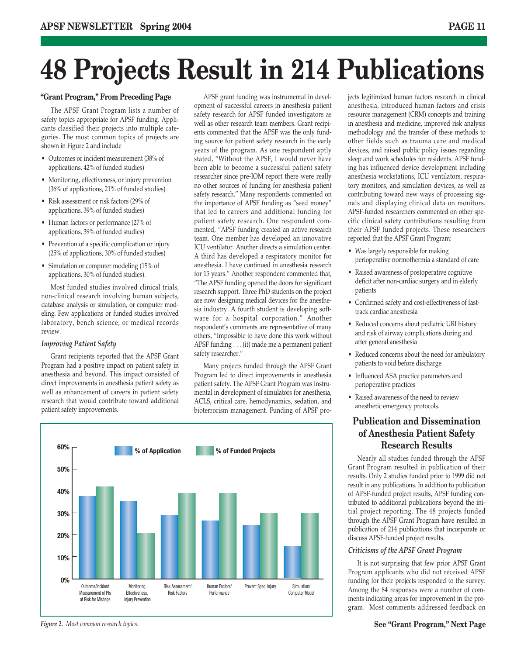# **48 Projects Result in 214 Publications**

#### **"Grant Program," From Preceding Page**

The APSF Grant Program lists a number of safety topics appropriate for APSF funding. Applicants classified their projects into multiple categories. The most common topics of projects are shown in Figure 2 and include

- Outcomes or incident measurement (38% of applications, 42% of funded studies)
- Monitoring, effectiveness, or injury prevention (36% of applications, 21% of funded studies)
- Risk assessment or risk factors (29% of applications, 39% of funded studies)
- Human factors or performance (27% of applications, 39% of funded studies)
- Prevention of a specific complication or injury (25% of applications, 30% of funded studies)
- Simulation or computer modeling (15% of applications, 30% of funded studies).

Most funded studies involved clinical trials, non-clinical research involving human subjects, database analysis or simulation, or computer modeling. Few applications or funded studies involved laboratory, bench science, or medical records review.

#### *Improving Patient Safety*

Grant recipients reported that the APSF Grant Program had a positive impact on patient safety in anesthesia and beyond. This impact consisted of direct improvements in anesthesia patient safety as well as enhancement of careers in patient safety research that would contribute toward additional patient safety improvements.

APSF grant funding was instrumental in development of successful careers in anesthesia patient safety research for APSF funded investigators as well as other research team members. Grant recipients commented that the APSF was the only funding source for patient safety research in the early years of the program. As one respondent aptly stated, "Without the APSF, I would never have been able to become a successful patient safety researcher since pre-IOM report there were really no other sources of funding for anesthesia patient safety research." Many respondents commented on the importance of APSF funding as "seed money" that led to careers and additional funding for patient safety research. One respondent commented, "APSF funding created an active research team. One member has developed an innovative ICU ventilator. Another directs a simulation center. A third has developed a respiratory monitor for anesthesia. I have continued in anesthesia research for 15 years." Another respondent commented that, "The APSF funding opened the doors for significant research support. Three PhD students on the project are now designing medical devices for the anesthesia industry. A fourth student is developing software for a hospital corporation." Another respondent's comments are representative of many others, "Impossible to have done this work without APSF funding . . . (it) made me a permanent patient safety researcher."

Many projects funded through the APSF Grant Program led to direct improvements in anesthesia patient safety. The APSF Grant Program was instrumental in development of simulators for anesthesia, ACLS, critical care, hemodynamics, sedation, and bioterrorism management. Funding of APSF pro-



jects legitimized human factors research in clinical anesthesia, introduced human factors and crisis resource management (CRM) concepts and training in anesthesia and medicine, improved risk analysis methodology and the transfer of these methods to other fields such as trauma care and medical devices, and raised public policy issues regarding sleep and work schedules for residents. APSF funding has influenced device development including anesthesia workstations, ICU ventilators, respiratory monitors, and simulation devices, as well as contributing toward new ways of processing signals and displaying clinical data on monitors. APSF-funded researchers commented on other specific clinical safety contributions resulting from their APSF funded projects. These researchers reported that the APSF Grant Program:

- Was largely responsible for making perioperative normothermia a standard of care
- Raised awareness of postoperative cognitive deficit after non-cardiac surgery and in elderly patients
- Confirmed safety and cost-effectiveness of fasttrack cardiac anesthesia
- Reduced concerns about pediatric URI history and risk of airway complications during and after general anesthesia
- Reduced concerns about the need for ambulatory patients to void before discharge
- Influenced ASA practice parameters and perioperative practices
- Raised awareness of the need to review anesthetic emergency protocols.

### **Publication and Dissemination of Anesthesia Patient Safety Research Results**

Nearly all studies funded through the APSF Grant Program resulted in publication of their results. Only 2 studies funded prior to 1999 did not result in any publications. In addition to publication of APSF-funded project results, APSF funding contributed to additional publications beyond the initial project reporting. The 48 projects funded through the APSF Grant Program have resulted in publication of 214 publications that incorporate or discuss APSF-funded project results.

#### *Criticisms of the APSF Grant Program*

It is not surprising that few prior APSF Grant Program applicants who did not received APSF funding for their projects responded to the survey. Among the 84 responses were a number of comments indicating areas for improvement in the program. Most comments addressed feedback on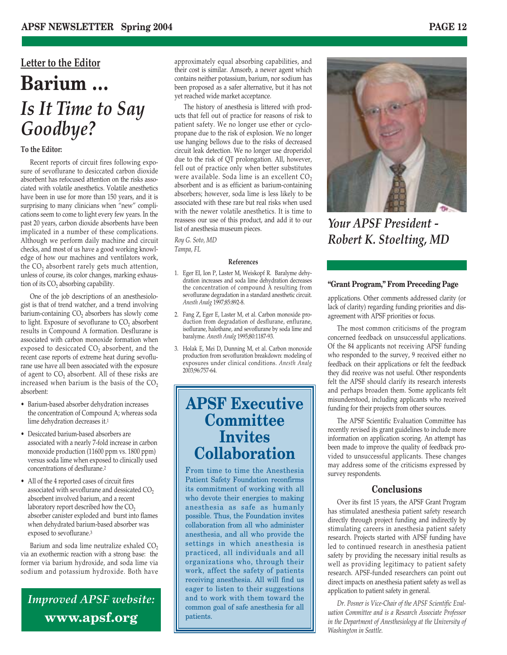## **Letter to the Editor Barium …** *Is It Time to Say Goodbye?*

#### **To the Editor:**

Recent reports of circuit fires following exposure of sevoflurane to desiccated carbon dioxide absorbent has refocused attention on the risks associated with volatile anesthetics. Volatile anesthetics have been in use for more than 150 years, and it is surprising to many clinicians when "new" complications seem to come to light every few years. In the past 20 years, carbon dioxide absorbents have been implicated in a number of these complications. Although we perform daily machine and circuit checks, and most of us have a good working knowledge of how our machines and ventilators work, the CO<sub>2</sub> absorbent rarely gets much attention, unless of course, its color changes, marking exhaustion of its  $CO<sub>2</sub>$  absorbing capability.

One of the job descriptions of an anesthesiologist is that of trend watcher, and a trend involving barium-containing  $CO<sub>2</sub>$  absorbers has slowly come to light. Exposure of sevoflurane to  $CO<sub>2</sub>$  absorbent results in Compound A formation. Desflurane is associated with carbon monoxide formation when exposed to desiccated  $CO<sub>2</sub>$  absorbent, and the recent case reports of extreme heat during sevoflurane use have all been associated with the exposure of agent to  $CO<sub>2</sub>$  absorbent. All of these risks are increased when barium is the basis of the  $CO<sub>2</sub>$ absorbent:

- Barium-based absorber dehydration increases the concentration of Compound A; whereas soda lime dehydration decreases it.1
- Desiccated barium-based absorbers are associated with a nearly 7-fold increase in carbon monoxide production (11600 ppm vs. 1800 ppm) versus soda lime when exposed to clinically used concentrations of desflurane.2
- All of the 4 reported cases of circuit fires associated with sevoflurane and dessicated  $CO<sub>2</sub>$ absorbent involved barium, and a recent laboratory report described how the  $CO<sub>2</sub>$ absorber canister exploded and burst into flames when dehydrated barium-based absorber was exposed to sevoflurane.3

Barium and soda lime neutralize exhaled  $CO<sub>2</sub>$ via an exothermic reaction with a strong base: the former via barium hydroxide, and soda lime via sodium and potassium hydroxide. Both have

### *Improved APSF website:* **www.apsf.org**

approximately equal absorbing capabilities, and their cost is similar. Amsorb, a newer agent which contains neither potassium, barium, nor sodium has been proposed as a safer alternative, but it has not yet reached wide market acceptance.

The history of anesthesia is littered with products that fell out of practice for reasons of risk to patient safety. We no longer use ether or cyclopropane due to the risk of explosion. We no longer use hanging bellows due to the risks of decreased circuit leak detection. We no longer use droperidol due to the risk of QT prolongation. All, however, fell out of practice only when better substitutes were available. Soda lime is an excellent  $CO<sub>2</sub>$ absorbent and is as efficient as barium-containing absorbers; however, soda lime is less likely to be associated with these rare but real risks when used with the newer volatile anesthetics. It is time to reassess our use of this product, and add it to our list of anesthesia museum pieces.

*Roy G. Soto, MD Tampa, FL*

#### **References**

- 1. Eger EI, Ion P, Laster M, Weiskopf R. Baralyme dehydration increases and soda lime dehydration decreases the concentration of compound A resulting from sevoflurane degradation in a standard anesthetic circuit. *Anesth Analg* 1997;85:892-8.
- 2. Fang Z, Eger E, Laster M, et al. Carbon monoxide production from degradation of desflurane, enflurane, isoflurane, halothane, and sevoflurane by soda lime and baralyme. *Anesth Analg* 1995;80:1187-93.
- 3. Holak E, Mei D, Dunning M, et al. Carbon monoxide production from sevofluration breakdown: modeling of exposures under clinical conditions. *Anesth Analg* 2003;96:757-64.

### **APSF Executive Committee Invites Collaboration**

From time to time the Anesthesia Patient Safety Foundation reconfirms its commitment of working with all who devote their energies to making anesthesia as safe as humanly possible. Thus, the Foundation invites collaboration from all who administer anesthesia, and all who provide the settings in which anesthesia is practiced, all individuals and all organizations who, through their work, affect the safety of patients receiving anesthesia. All will find us eager to listen to their suggestions and to work with them toward the common goal of safe anesthesia for all patients.

*Your APSF President -* 

#### **"Grant Program," From Preceding Page**

*Robert K. Stoelting, MD*

applications. Other comments addressed clarity (or lack of clarity) regarding funding priorities and disagreement with APSF priorities or focus.

The most common criticisms of the program concerned feedback on unsuccessful applications. Of the 84 applicants not receiving APSF funding who responded to the survey, 9 received either no feedback on their applications or felt the feedback they did receive was not useful. Other respondents felt the APSF should clarify its research interests and perhaps broaden them. Some applicants felt misunderstood, including applicants who received funding for their projects from other sources.

The APSF Scientific Evaluation Committee has recently revised its grant guidelines to include more information on application scoring. An attempt has been made to improve the quality of feedback provided to unsuccessful applicants. These changes may address some of the criticisms expressed by survey respondents.

#### **Conclusions**

Over its first 15 years, the APSF Grant Program has stimulated anesthesia patient safety research directly through project funding and indirectly by stimulating careers in anesthesia patient safety research. Projects started with APSF funding have led to continued research in anesthesia patient safety by providing the necessary initial results as well as providing legitimacy to patient safety research. APSF-funded researchers can point out direct impacts on anesthesia patient safety as well as application to patient safety in general.

*Dr. Posner is Vice-Chair of the APSF Scientific Evaluation Committee and is a Research Associate Professor in the Department of Anesthesiology at the University of Washington in Seattle.*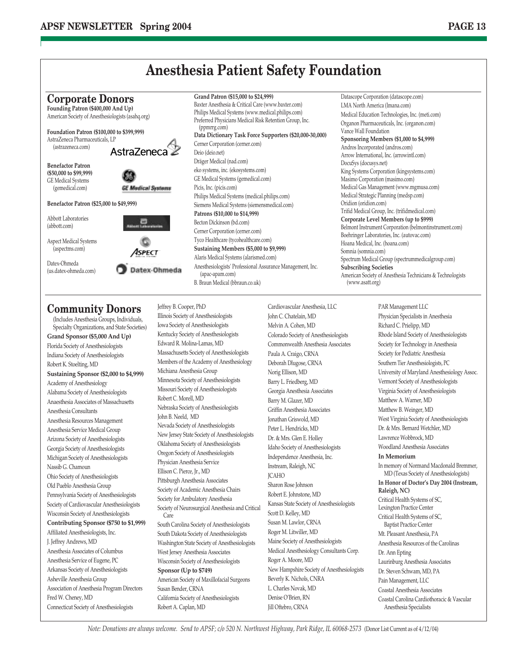

### **Community Donors**

(Includes Anesthesia Groups, Individuals, Specialty Organizations, and State Societies) **Grand Sponsor (\$5,000 And Up)** Florida Society of Anesthesiologists Indiana Society of Anesthesiologists Robert K. Stoelting, MD **Sustaining Sponsor (\$2,000 to \$4,999)** Academy of Anesthesiology Alabama Society of Anesthesiologists Anaesthesia Associates of Massachusetts Anesthesia Consultants Anesthesia Resources Management Anesthesia Service Medical Group Arizona Society of Anesthesiologists Georgia Society of Anesthesiologists Michigan Society of Anesthesiologists Nassib G. Chamoun Ohio Society of Anesthesiologists Old Pueblo Anesthesia Group Pennsylvania Society of Anesthesiologists Society of Cardiovascular Anesthesiologists Wisconsin Society of Anesthesiologists **Contributing Sponsor (\$750 to \$1,999)** Affiliated Anesthesiologists, Inc. J. Jeffrey Andrews, MD Anesthesia Associates of Columbus Anesthesia Service of Eugene, PC Arkansas Society of Anesthesiologists Asheville Anesthesia Group Association of Anesthesia Program Directors Fred W. Cheney, MD Connecticut Society of Anesthesiologists

Jeffrey B. Cooper, PhD Illinois Society of Anesthesiologists Iowa Society of Anesthesiologists Kentucky Society of Anesthesiologists Edward R. Molina-Lamas, MD Massachusetts Society of Anesthesiologists Members of the Academy of Anesthesiology Michiana Anesthesia Group Minnesota Society of Anesthesiologists Missouri Society of Anesthesiologists Robert C. Morell, MD Nebraska Society of Anesthesiologists John B. Neeld, MD Nevada Society of Anesthesiologists New Jersey State Society of Anesthesiologists Oklahoma Society of Anesthesiologists Oregon Society of Anesthesiologists Physician Anesthesia Service Ellison C. Pierce, Jr., MD Pittsburgh Anesthesia Associates Society of Academic Anesthesia Chairs Society for Ambulatory Anesthesia Society of Neurosurgical Anesthesia and Critical Care South Carolina Society of Anesthesiologists South Dakota Society of Anesthesiologists Washington State Society of Anesthesiologists West Jersey Anesthesia Associates Wisconsin Society of Anesthesiologists **Sponsor (Up to \$749)** American Society of Maxillofacial Surgeons Susan Bender, CRNA California Society of Anesthesiologists Robert A. Caplan, MD

Cardiovascular Anesthesia, LLC John C. Chatelain, MD Melvin A. Cohen, MD Colorado Society of Anesthesiologists Commonwealth Anesthesia Associates Paula A. Craigo, CRNA Deborah Dlugose, CRNA Norig Ellison, MD Barry L. Friedberg, MD Georgia Anesthesia Associates Barry M. Glazer, MD Griffin Anesthesia Associates Jonathan Griswold, MD Peter L. Hendricks, MD Dr. & Mrs. Glen E. Holley Idaho Society of Anesthesiologists Independence Anesthesia, Inc. Instream, Raleigh, NC JCAHO Sharon Rose Johnson Robert E. Johnstone, MD Kansas State Society of Anesthesiologists Scott D. Kelley, MD Susan M. Lawlor, CRNA Roger M. Litwiller, MD Maine Society of Anesthesiologists Medical Anesthesiology Consultants Corp. Roger A. Moore, MD New Hampshire Society of Anesthesiologists Beverly K. Nichols, CNRA L. Charles Novak, MD Denise O'Brien, RN Jill Oftebro, CRNA

PAR Management LLC Physician Specialists in Anesthesia Richard C. Prielipp, MD Rhode Island Society of Anesthesiologists Society for Technology in Anesthesia Society for Pediatric Anesthesia Southern Tier Anesthesiologists, PC University of Maryland Anesthesiology Assoc. Vermont Society of Anesthesiologists Virginia Society of Anesthesiologists Matthew A. Warner, MD Matthew B. Weinger, MD West Virginia Society of Anesthesiologists Dr. & Mrs. Bernard Wetchler, MD Lawrence Wobbrock, MD Woodland Anesthesia Associates **In Memorium** In memory of Normand Macdonald Bremmer, MD (Texas Society of Anesthesiologists) **In Honor of Doctor's Day 2004 (Instream, Raleigh, NC)** Critical Health Systems of SC, Lexington Practice Center Critical Health Systems of SC, Baptist Practice Center Mt. Pleasant Anesthesia, PA Anesthesia Resources of the Carolinas Dr. Ann Epting Laurinburg Anesthesia Associates Dr. Steven Schwam, MD, PA Pain Management, LLC Coastal Anesthesia Associates Coastal Carolina Cardiothoracic & Vascular Anesthesia Specialists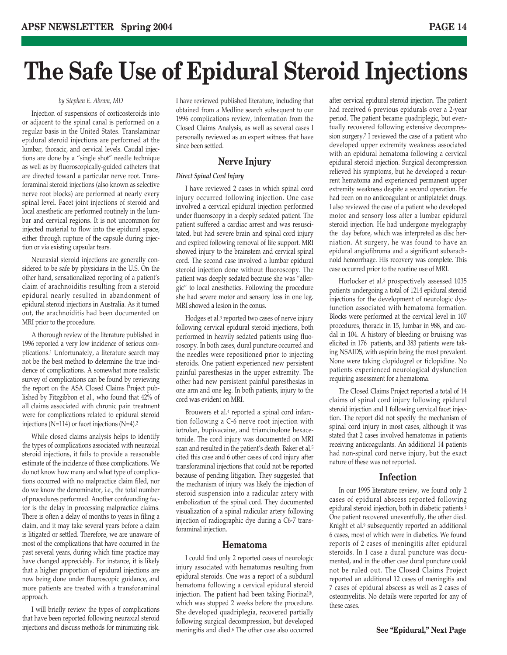# **The Safe Use of Epidural Steroid Injections**

#### *by Stephen E. Abram, MD*

Injection of suspensions of corticosteroids into or adjacent to the spinal canal is performed on a regular basis in the United States. Translaminar epidural steroid injections are performed at the lumbar, thoracic, and cervical levels. Caudal injections are done by a "single shot" needle technique as well as by fluoroscopically-guided catheters that are directed toward a particular nerve root. Transforaminal steroid injections (also known as selective nerve root blocks) are performed at nearly every spinal level. Facet joint injections of steroid and local anesthetic are performed routinely in the lumbar and cervical regions. It is not uncommon for injected material to flow into the epidural space, either through rupture of the capsule during injection or via existing capsular tears.

Neuraxial steroid injections are generally considered to be safe by physicians in the U.S. On the other hand, sensationalized reporting of a patient's claim of arachnoiditis resulting from a steroid epidural nearly resulted in abandonment of epidural steroid injections in Australia. As it turned out, the arachnoiditis had been documented on MRI prior to the procedure.

A thorough review of the literature published in 1996 reported a very low incidence of serious complications.1 Unfortunately, a literature search may not be the best method to determine the true incidence of complications. A somewhat more realistic survey of complications can be found by reviewing the report on the ASA Closed Claims Project published by Fitzgibbon et al., who found that 42% of all claims associated with chronic pain treatment were for complications related to epidural steroid injections (N=114) or facet injections (N=4).2

While closed claims analysis helps to identify the types of complications associated with neuraxial steroid injections, it fails to provide a reasonable estimate of the incidence of those complications. We do not know how many and what type of complications occurred with no malpractice claim filed, nor do we know the denominator, i.e., the total number of procedures performed. Another confounding factor is the delay in processing malpractice claims. There is often a delay of months to years in filing a claim, and it may take several years before a claim is litigated or settled. Therefore, we are unaware of most of the complications that have occurred in the past several years, during which time practice may have changed appreciably. For instance, it is likely that a higher proportion of epidural injections are now being done under fluoroscopic guidance, and more patients are treated with a transforaminal approach.

I will briefly review the types of complications that have been reported following neuraxial steroid injections and discuss methods for minimizing risk.

I have reviewed published literature, including that obtained from a Medline search subsequent to our 1996 complications review, information from the Closed Claims Analysis, as well as several cases I personally reviewed as an expert witness that have since been settled.

#### **Nerve Injury**

#### *Direct Spinal Cord Injury*

I have reviewed 2 cases in which spinal cord injury occurred following injection. One case involved a cervical epidural injection performed under fluoroscopy in a deeply sedated patient. The patient suffered a cardiac arrest and was resuscitated, but had severe brain and spinal cord injury and expired following removal of life support. MRI showed injury to the brainstem and cervical spinal cord. The second case involved a lumbar epidural steroid injection done without fluoroscopy. The patient was deeply sedated because she was "allergic" to local anesthetics. Following the procedure she had severe motor and sensory loss in one leg. MRI showed a lesion in the conus.

Hodges et al.3 reported two cases of nerve injury following cervical epidural steroid injections, both performed in heavily sedated patients using fluoroscopy. In both cases, dural puncture occurred and the needles were repositioned prior to injecting steroids. One patient experienced new persistent painful paresthesias in the upper extremity. The other had new persistent painful paresthesias in one arm and one leg. In both patients, injury to the cord was evident on MRI.

Brouwers et al.4 reported a spinal cord infarction following a C-6 nerve root injection with iotrolan, bupivacaine, and triamcinolone hexacetonide. The cord injury was documented on MRI scan and resulted in the patient's death. Baker et al.5 cited this case and 6 other cases of cord injury after transforaminal injections that could not be reported because of pending litigation. They suggested that the mechanism of injury was likely the injection of steroid suspension into a radicular artery with embolization of the spinal cord. They documented visualization of a spinal radicular artery following injection of radiographic dye during a C6-7 transforaminal injection.

#### **Hematoma**

I could find only 2 reported cases of neurologic injury associated with hematomas resulting from epidural steroids. One was a report of a subdural hematoma following a cervical epidural steroid injection. The patient had been taking Fiorinal®, which was stopped 2 weeks before the procedure. She developed quadriplegia, recovered partially following surgical decompression, but developed meningitis and died.6 The other case also occurred

after cervical epidural steroid injection. The patient had received 6 previous epidurals over a 2-year period. The patient became quadriplegic, but eventually recovered following extensive decompression surgery.7 I reviewed the case of a patient who developed upper extremity weakness associated with an epidural hematoma following a cervical epidural steroid injection. Surgical decompression relieved his symptoms, but he developed a recurrent hematoma and experienced permanent upper extremity weakness despite a second operation. He had been on no anticoagulant or antiplatelet drugs. I also reviewed the case of a patient who developed motor and sensory loss after a lumbar epidural steroid injection. He had undergone myelography the day before, which was interpreted as disc herniation. At surgery, he was found to have an epidural angiofibroma and a significant subarachnoid hemorrhage. His recovery was complete. This case occurred prior to the routine use of MRI.

Horlocker et al.8 prospectively assessed 1035 patients undergoing a total of 1214 epidural steroid injections for the development of neurologic dysfunction associated with hematoma formation. Blocks were performed at the cervical level in 107 procedures, thoracic in 15, lumbar in 988, and caudal in 104. A history of bleeding or bruising was elicited in 176 patients, and 383 patients were taking NSAIDS, with aspirin being the most prevalent. None were taking clopidogrel or ticlopidine. No patients experienced neurological dysfunction requiring assessment for a hematoma.

The Closed Claims Project reported a total of 14 claims of spinal cord injury following epidural steroid injection and 1 following cervical facet injection. The report did not specify the mechanism of spinal cord injury in most cases, although it was stated that 2 cases involved hematomas in patients receiving anticoagulants. An additional 14 patients had non-spinal cord nerve injury, but the exact nature of these was not reported.

#### **Infection**

In our 1995 literature review, we found only 2 cases of epidural abscess reported following epidural steroid injection, both in diabetic patients.1 One patient recovered uneventfully, the other died. Knight et al.9 subsequently reported an additional 6 cases, most of which were in diabetics. We found reports of 2 cases of meningitis after epidural steroids. In 1 case a dural puncture was documented, and in the other case dural puncture could not be ruled out. The Closed Claims Project reported an additional 12 cases of meningitis and 7 cases of epidural abscess as well as 2 cases of osteomyelitis. No details were reported for any of these cases.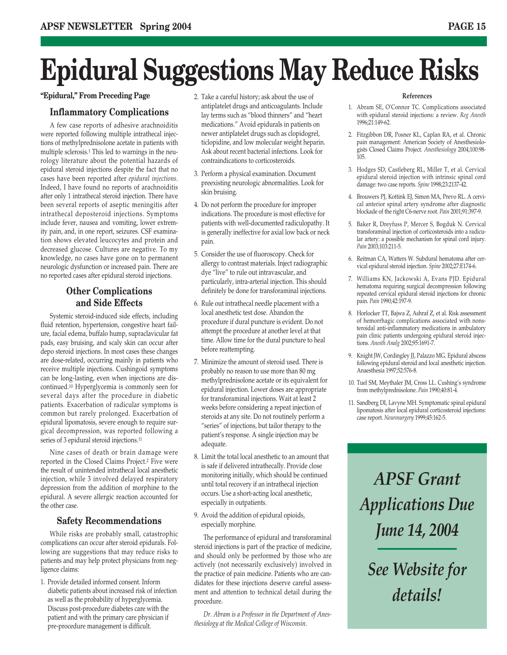# **Epidural Suggestions May Reduce Risks**

#### **Inflammatory Complications**

A few case reports of adhesive arachnoiditis were reported following multiple intrathecal injections of methylprednisolone acetate in patients with multiple sclerosis.1 This led to warnings in the neurology literature about the potential hazards of epidural steroid injections despite the fact that no cases have been reported after *epidural injections*. Indeed, I have found no reports of arachnoiditis after only 1 intrathecal steroid injection. There have been several reports of aseptic meningitis after intrathecal deposteroid injections. Symptoms include fever, nausea and vomiting, lower extremity pain, and, in one report, seizures. CSF examination shows elevated leucocytes and protein and decreased glucose. Cultures are negative. To my knowledge, no cases have gone on to permanent neurologic dysfunction or increased pain. There are no reported cases after epidural steroid injections.

### **Other Complications and Side Effects**

Systemic steroid-induced side effects, including fluid retention, hypertension, congestive heart failure, facial edema, buffalo hump, supraclavicular fat pads, easy bruising, and scaly skin can occur after depo steroid injections. In most cases these changes are dose-related, occurring mainly in patients who receive multiple injections. Cushingoid symptoms can be long-lasting, even when injections are discontinued.10 Hyperglycemia is commonly seen for several days after the procedure in diabetic patients. Exacerbation of radicular symptoms is common but rarely prolonged. Exacerbation of epidural lipomatosis, severe enough to require surgical decompression, was reported following a series of 3 epidural steroid injections.11

Nine cases of death or brain damage were reported in the Closed Claims Project.2 Five were the result of unintended intrathecal local anesthetic injection, while 3 involved delayed respiratory depression from the addition of morphine to the epidural. A severe allergic reaction accounted for the other case.

#### **Safety Recommendations**

While risks are probably small, catastrophic complications can occur after steroid epidurals. Following are suggestions that may reduce risks to patients and may help protect physicians from negligence claims:

1. Provide detailed informed consent. Inform diabetic patients about increased risk of infection as well as the probability of hyperglycemia. Discuss post-procedure diabetes care with the patient and with the primary care physician if pre-procedure management is difficult.

- 2. Take a careful history; ask about the use of **"Epidural," From Preceding Page References** antiplatelet drugs and anticoagulants. Include lay terms such as "blood thinners" and "heart medications." Avoid epidurals in patients on newer antiplatelet drugs such as clopidogrel, ticlopidine, and low molecular weight heparin. Ask about recent bacterial infections. Look for contraindications to corticosteroids.
	- 3. Perform a physical examination. Document preexisting neurologic abnormalities. Look for skin bruising.
	- 4. Do not perform the procedure for improper indications. The procedure is most effective for patients with well-documented radiculopathy. It is generally ineffective for axial low back or neck pain.
	- 5. Consider the use of fluoroscopy. Check for allergy to contrast materials. Inject radiographic dye "live" to rule out intravascular, and particularly, intra-arterial injection. This should definitely be done for transforaminal injections.
	- 6. Rule out intrathecal needle placement with a local anesthetic test dose. Abandon the procedure if dural puncture is evident. Do not attempt the procedure at another level at that time. Allow time for the dural puncture to heal before reattempting.
	- 7. Minimize the amount of steroid used. There is probably no reason to use more than 80 mg methylprednisolone acetate or its equivalent for epidural injection. Lower doses are appropriate for transforaminal injections. Wait at least 2 weeks before considering a repeat injection of steroids at any site. Do not routinely perform a "series" of injections, but tailor therapy to the patient's response. A single injection may be adequate.
	- 8. Limit the total local anesthetic to an amount that is safe if delivered intrathecally. Provide close monitoring initially, which should be continued until total recovery if an intrathecal injection occurs. Use a short-acting local anesthetic, especially in outpatients.
	- 9. Avoid the addition of epidural opioids, especially morphine.

The performance of epidural and transforaminal steroid injections is part of the practice of medicine, and should only be performed by those who are actively (not necessarily exclusively) involved in the practice of pain medicine. Patients who are candidates for these injections deserve careful assessment and attention to technical detail during the procedure.

*Dr. Abram is a Professor in the Department of Anesthesiology at the Medical College of Wisconsin.*

- 1. Abram SE, O'Connor TC. Complications associated with epidural steroid injections: a review. *Reg Anesth* 1996;21:149-62.
- 2. Fitzgibbon DR, Posner KL, Caplan RA, et al. Chronic pain management: American Society of Anesthesiologists Closed Claims Project. *Anesthesiology* 2004;100:98- 105.
- 3. Hodges SD, Castleberg RL, Miller T, et al. Cervical epidural steroid injection with intrinsic spinal cord damage: two case reports. *Spine* 1998;23:2137-42.
- 4. Brouwers PJ, Kottink EJ, Simon MA, Prevo RL. A cervical anterior spinal artery syndrome after diagnostic blockade of the right C6-nerve root. *Pain* 2001;91:397-9.
- 5. Baker R, Dreyfuss P, Mercer S, Bogduk N. Cervical transforaminal injection of corticosteroids into a radicular artery: a possible mechanism for spinal cord injury. *Pain* 2003;103:211-5.
- 6. Reitman CA, Watters W. Subdural hematoma after cervical epidural steroid injection. *Spine* 2002;27:E174-6.
- 7. Williams KN, Jackowski A, Evans PJD. Epidural hematoma requiring surgical decompression following repeated cervical epidural steroid injections for chronic pain. *Pain* 1990;42:197-9.
- 8. Horlocker TT, Bajwa Z, Ashraf Z, et al. Risk assessment of hemorrhagic complications associated with nonsteroidal anti-inflammatory medications in ambulatory pain clinic patients undergoing epidural steroid injections. *Anesth Analg* 2002;95:1691-7.
- 9. Knight JW, Cordingley JJ, Palazzo MG. Epidural abscess following epidural steroid and local anesthetic injection. Anaesthesia 1997;52:576-8.
- 10. Tuel SM, Meythaler JM, Cross LL. Cushing's syndrome from methylprednisolone. *Pain* 1990;40:81-4.
- 11. Sandberg DI, Lavyne MH. Symptomatic spinal epidural lipomatosis after local epidural corticosteroid injections: case report. *Neurosurgery* 1999;45:162-5.

*APSF Grant Applications Due June 14, 2004*

*See Website for details!*